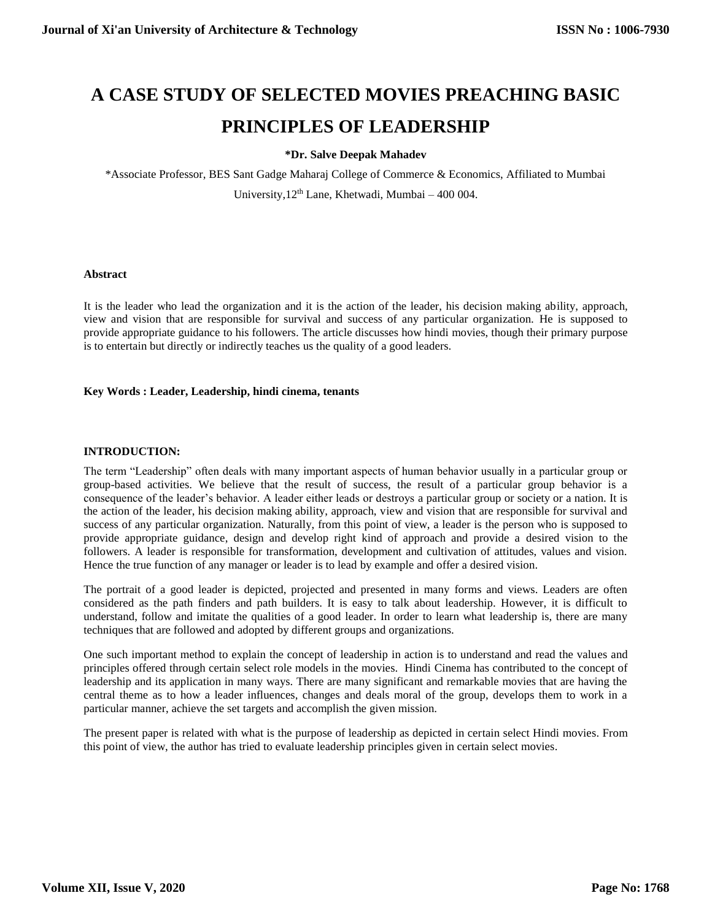# **A CASE STUDY OF SELECTED MOVIES PREACHING BASIC PRINCIPLES OF LEADERSHIP**

# **\*Dr. Salve Deepak Mahadev**

\*Associate Professor, BES Sant Gadge Maharaj College of Commerce & Economics, Affiliated to Mumbai University,  $12<sup>th</sup>$  Lane, Khetwadi, Mumbai – 400 004.

# **Abstract**

It is the leader who lead the organization and it is the action of the leader, his decision making ability, approach, view and vision that are responsible for survival and success of any particular organization. He is supposed to provide appropriate guidance to his followers. The article discusses how hindi movies, though their primary purpose is to entertain but directly or indirectly teaches us the quality of a good leaders.

# **Key Words : Leader, Leadership, hindi cinema, tenants**

# **INTRODUCTION:**

The term "Leadership" often deals with many important aspects of human behavior usually in a particular group or group-based activities. We believe that the result of success, the result of a particular group behavior is a consequence of the leader's behavior. A leader either leads or destroys a particular group or society or a nation. It is the action of the leader, his decision making ability, approach, view and vision that are responsible for survival and success of any particular organization. Naturally, from this point of view, a leader is the person who is supposed to provide appropriate guidance, design and develop right kind of approach and provide a desired vision to the followers. A leader is responsible for transformation, development and cultivation of attitudes, values and vision. Hence the true function of any manager or leader is to lead by example and offer a desired vision.

The portrait of a good leader is depicted, projected and presented in many forms and views. Leaders are often considered as the path finders and path builders. It is easy to talk about leadership. However, it is difficult to understand, follow and imitate the qualities of a good leader. In order to learn what leadership is, there are many techniques that are followed and adopted by different groups and organizations.

One such important method to explain the concept of leadership in action is to understand and read the values and principles offered through certain select role models in the movies. Hindi Cinema has contributed to the concept of leadership and its application in many ways. There are many significant and remarkable movies that are having the central theme as to how a leader influences, changes and deals moral of the group, develops them to work in a particular manner, achieve the set targets and accomplish the given mission.

The present paper is related with what is the purpose of leadership as depicted in certain select Hindi movies. From this point of view, the author has tried to evaluate leadership principles given in certain select movies.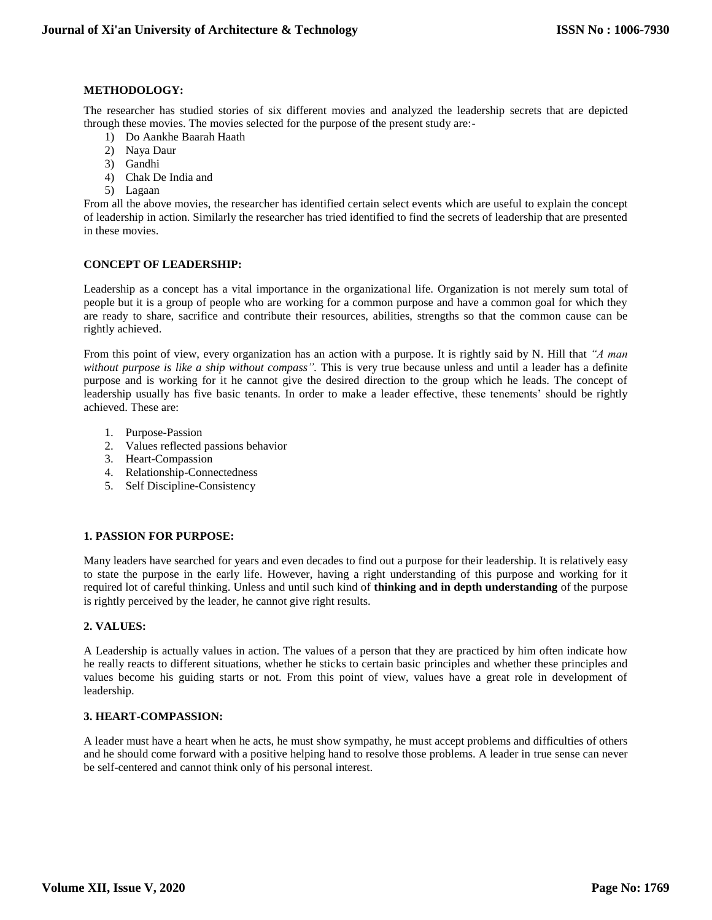# **METHODOLOGY:**

The researcher has studied stories of six different movies and analyzed the leadership secrets that are depicted through these movies. The movies selected for the purpose of the present study are:-

- 1) Do Aankhe Baarah Haath
- 2) Naya Daur
- 3) Gandhi
- 4) Chak De India and
- 5) Lagaan

From all the above movies, the researcher has identified certain select events which are useful to explain the concept of leadership in action. Similarly the researcher has tried identified to find the secrets of leadership that are presented in these movies.

# **CONCEPT OF LEADERSHIP:**

Leadership as a concept has a vital importance in the organizational life. Organization is not merely sum total of people but it is a group of people who are working for a common purpose and have a common goal for which they are ready to share, sacrifice and contribute their resources, abilities, strengths so that the common cause can be rightly achieved.

From this point of view, every organization has an action with a purpose. It is rightly said by N. Hill that *"A man without purpose is like a ship without compass".* This is very true because unless and until a leader has a definite purpose and is working for it he cannot give the desired direction to the group which he leads. The concept of leadership usually has five basic tenants. In order to make a leader effective, these tenements' should be rightly achieved. These are:

- 1. Purpose-Passion
- 2. Values reflected passions behavior
- 3. Heart-Compassion
- 4. Relationship-Connectedness
- 5. Self Discipline-Consistency

# **1. PASSION FOR PURPOSE:**

Many leaders have searched for years and even decades to find out a purpose for their leadership. It is relatively easy to state the purpose in the early life. However, having a right understanding of this purpose and working for it required lot of careful thinking. Unless and until such kind of **thinking and in depth understanding** of the purpose is rightly perceived by the leader, he cannot give right results.

# **2. VALUES:**

A Leadership is actually values in action. The values of a person that they are practiced by him often indicate how he really reacts to different situations, whether he sticks to certain basic principles and whether these principles and values become his guiding starts or not. From this point of view, values have a great role in development of leadership.

# **3. HEART-COMPASSION:**

A leader must have a heart when he acts, he must show sympathy, he must accept problems and difficulties of others and he should come forward with a positive helping hand to resolve those problems. A leader in true sense can never be self-centered and cannot think only of his personal interest.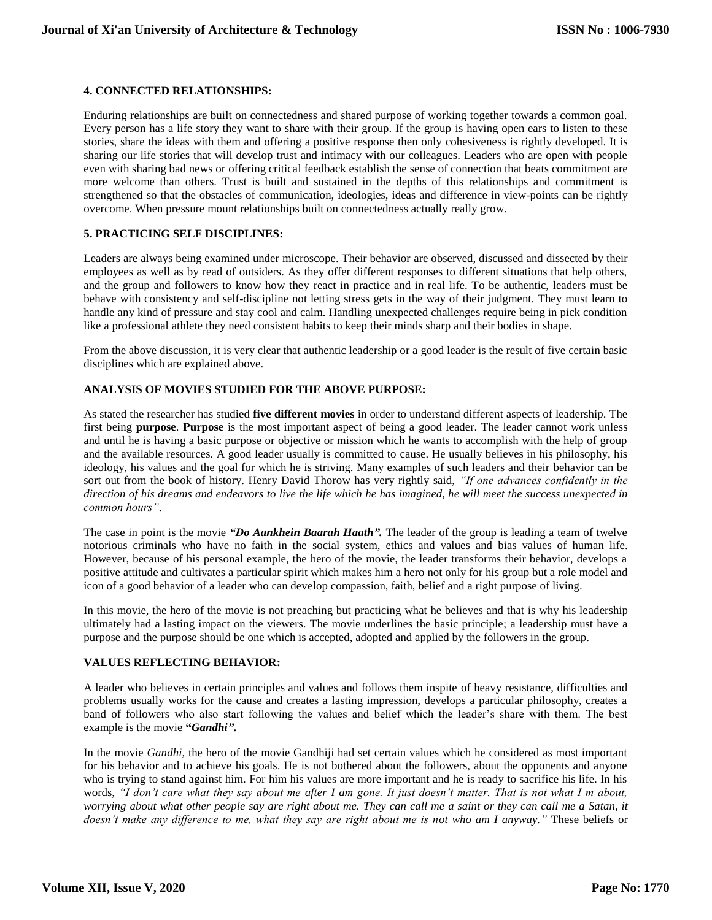#### **4. CONNECTED RELATIONSHIPS:**

Enduring relationships are built on connectedness and shared purpose of working together towards a common goal. Every person has a life story they want to share with their group. If the group is having open ears to listen to these stories, share the ideas with them and offering a positive response then only cohesiveness is rightly developed. It is sharing our life stories that will develop trust and intimacy with our colleagues. Leaders who are open with people even with sharing bad news or offering critical feedback establish the sense of connection that beats commitment are more welcome than others. Trust is built and sustained in the depths of this relationships and commitment is strengthened so that the obstacles of communication, ideologies, ideas and difference in view-points can be rightly overcome. When pressure mount relationships built on connectedness actually really grow.

# **5. PRACTICING SELF DISCIPLINES:**

Leaders are always being examined under microscope. Their behavior are observed, discussed and dissected by their employees as well as by read of outsiders. As they offer different responses to different situations that help others, and the group and followers to know how they react in practice and in real life. To be authentic, leaders must be behave with consistency and self-discipline not letting stress gets in the way of their judgment. They must learn to handle any kind of pressure and stay cool and calm. Handling unexpected challenges require being in pick condition like a professional athlete they need consistent habits to keep their minds sharp and their bodies in shape.

From the above discussion, it is very clear that authentic leadership or a good leader is the result of five certain basic disciplines which are explained above.

# **ANALYSIS OF MOVIES STUDIED FOR THE ABOVE PURPOSE:**

As stated the researcher has studied **five different movies** in order to understand different aspects of leadership. The first being **purpose**. **Purpose** is the most important aspect of being a good leader. The leader cannot work unless and until he is having a basic purpose or objective or mission which he wants to accomplish with the help of group and the available resources. A good leader usually is committed to cause. He usually believes in his philosophy, his ideology, his values and the goal for which he is striving. Many examples of such leaders and their behavior can be sort out from the book of history. Henry David Thorow has very rightly said, *"If one advances confidently in the direction of his dreams and endeavors to live the life which he has imagined, he will meet the success unexpected in common hours"*.

The case in point is the movie *"Do Aankhein Baarah Haath".* The leader of the group is leading a team of twelve notorious criminals who have no faith in the social system, ethics and values and bias values of human life. However, because of his personal example, the hero of the movie, the leader transforms their behavior, develops a positive attitude and cultivates a particular spirit which makes him a hero not only for his group but a role model and icon of a good behavior of a leader who can develop compassion, faith, belief and a right purpose of living.

In this movie, the hero of the movie is not preaching but practicing what he believes and that is why his leadership ultimately had a lasting impact on the viewers. The movie underlines the basic principle; a leadership must have a purpose and the purpose should be one which is accepted, adopted and applied by the followers in the group.

#### **VALUES REFLECTING BEHAVIOR:**

A leader who believes in certain principles and values and follows them inspite of heavy resistance, difficulties and problems usually works for the cause and creates a lasting impression, develops a particular philosophy, creates a band of followers who also start following the values and belief which the leader's share with them. The best example is the movie **"***Gandhi"***.**

In the movie *Gandhi*, the hero of the movie Gandhiji had set certain values which he considered as most important for his behavior and to achieve his goals. He is not bothered about the followers, about the opponents and anyone who is trying to stand against him. For him his values are more important and he is ready to sacrifice his life. In his words, *"I don't care what they say about me after I am gone. It just doesn't matter. That is not what I m about, worrying about what other people say are right about me. They can call me a saint or they can call me a Satan, it doesn't make any difference to me, what they say are right about me is not who am I anyway."* These beliefs or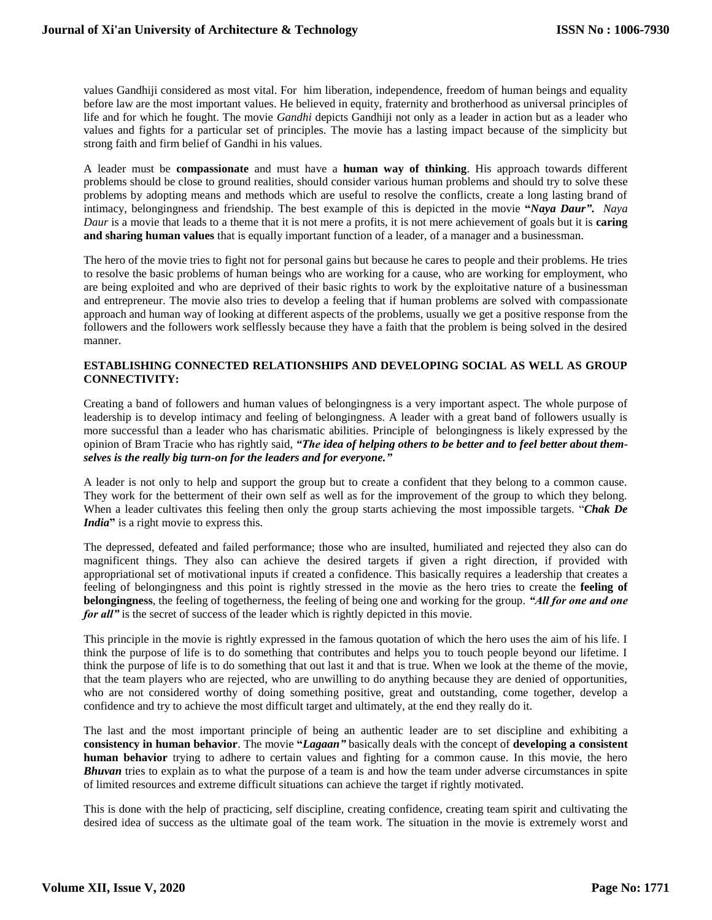values Gandhiji considered as most vital. For him liberation, independence, freedom of human beings and equality before law are the most important values. He believed in equity, fraternity and brotherhood as universal principles of life and for which he fought. The movie *Gandhi* depicts Gandhiji not only as a leader in action but as a leader who values and fights for a particular set of principles. The movie has a lasting impact because of the simplicity but strong faith and firm belief of Gandhi in his values.

A leader must be **compassionate** and must have a **human way of thinking**. His approach towards different problems should be close to ground realities, should consider various human problems and should try to solve these problems by adopting means and methods which are useful to resolve the conflicts, create a long lasting brand of intimacy, belongingness and friendship. The best example of this is depicted in the movie **"***Naya Daur"***.** *Naya Daur* is a movie that leads to a theme that it is not mere a profits, it is not mere achievement of goals but it is **caring and sharing human values** that is equally important function of a leader, of a manager and a businessman.

The hero of the movie tries to fight not for personal gains but because he cares to people and their problems. He tries to resolve the basic problems of human beings who are working for a cause, who are working for employment, who are being exploited and who are deprived of their basic rights to work by the exploitative nature of a businessman and entrepreneur. The movie also tries to develop a feeling that if human problems are solved with compassionate approach and human way of looking at different aspects of the problems, usually we get a positive response from the followers and the followers work selflessly because they have a faith that the problem is being solved in the desired manner.

# **ESTABLISHING CONNECTED RELATIONSHIPS AND DEVELOPING SOCIAL AS WELL AS GROUP CONNECTIVITY:**

Creating a band of followers and human values of belongingness is a very important aspect. The whole purpose of leadership is to develop intimacy and feeling of belongingness. A leader with a great band of followers usually is more successful than a leader who has charismatic abilities. Principle of belongingness is likely expressed by the opinion of Bram Tracie who has rightly said, *"The idea of helping others to be better and to feel better about themselves is the really big turn-on for the leaders and for everyone."*

A leader is not only to help and support the group but to create a confident that they belong to a common cause. They work for the betterment of their own self as well as for the improvement of the group to which they belong. When a leader cultivates this feeling then only the group starts achieving the most impossible targets. "*Chak De India***"** is a right movie to express this.

The depressed, defeated and failed performance; those who are insulted, humiliated and rejected they also can do magnificent things. They also can achieve the desired targets if given a right direction, if provided with appropriational set of motivational inputs if created a confidence. This basically requires a leadership that creates a feeling of belongingness and this point is rightly stressed in the movie as the hero tries to create the **feeling of belongingness**, the feeling of togetherness, the feeling of being one and working for the group. *"All for one and one for all*" is the secret of success of the leader which is rightly depicted in this movie.

This principle in the movie is rightly expressed in the famous quotation of which the hero uses the aim of his life. I think the purpose of life is to do something that contributes and helps you to touch people beyond our lifetime. I think the purpose of life is to do something that out last it and that is true. When we look at the theme of the movie, that the team players who are rejected, who are unwilling to do anything because they are denied of opportunities, who are not considered worthy of doing something positive, great and outstanding, come together, develop a confidence and try to achieve the most difficult target and ultimately, at the end they really do it.

The last and the most important principle of being an authentic leader are to set discipline and exhibiting a **consistency in human behavior**. The movie **"***Lagaan"* basically deals with the concept of **developing a consistent human behavior** trying to adhere to certain values and fighting for a common cause. In this movie, the hero *Bhuvan* tries to explain as to what the purpose of a team is and how the team under adverse circumstances in spite of limited resources and extreme difficult situations can achieve the target if rightly motivated.

This is done with the help of practicing, self discipline, creating confidence, creating team spirit and cultivating the desired idea of success as the ultimate goal of the team work. The situation in the movie is extremely worst and